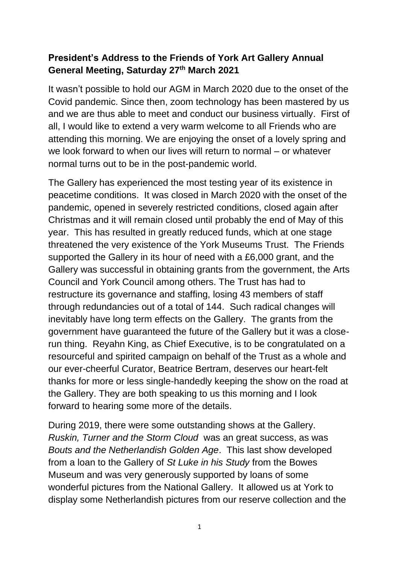## **President's Address to the Friends of York Art Gallery Annual General Meeting, Saturday 27th March 2021**

It wasn't possible to hold our AGM in March 2020 due to the onset of the Covid pandemic. Since then, zoom technology has been mastered by us and we are thus able to meet and conduct our business virtually. First of all, I would like to extend a very warm welcome to all Friends who are attending this morning. We are enjoying the onset of a lovely spring and we look forward to when our lives will return to normal – or whatever normal turns out to be in the post-pandemic world.

The Gallery has experienced the most testing year of its existence in peacetime conditions. It was closed in March 2020 with the onset of the pandemic, opened in severely restricted conditions, closed again after Christmas and it will remain closed until probably the end of May of this year. This has resulted in greatly reduced funds, which at one stage threatened the very existence of the York Museums Trust. The Friends supported the Gallery in its hour of need with a £6,000 grant, and the Gallery was successful in obtaining grants from the government, the Arts Council and York Council among others. The Trust has had to restructure its governance and staffing, losing 43 members of staff through redundancies out of a total of 144. Such radical changes will inevitably have long term effects on the Gallery. The grants from the government have guaranteed the future of the Gallery but it was a closerun thing. Reyahn King, as Chief Executive, is to be congratulated on a resourceful and spirited campaign on behalf of the Trust as a whole and our ever-cheerful Curator, Beatrice Bertram, deserves our heart-felt thanks for more or less single-handedly keeping the show on the road at the Gallery. They are both speaking to us this morning and I look forward to hearing some more of the details.

During 2019, there were some outstanding shows at the Gallery. *Ruskin, Turner and the Storm Cloud* was an great success, as was *Bouts and the Netherlandish Golden Age*. This last show developed from a loan to the Gallery of *St Luke in his Study* from the Bowes Museum and was very generously supported by loans of some wonderful pictures from the National Gallery. It allowed us at York to display some Netherlandish pictures from our reserve collection and the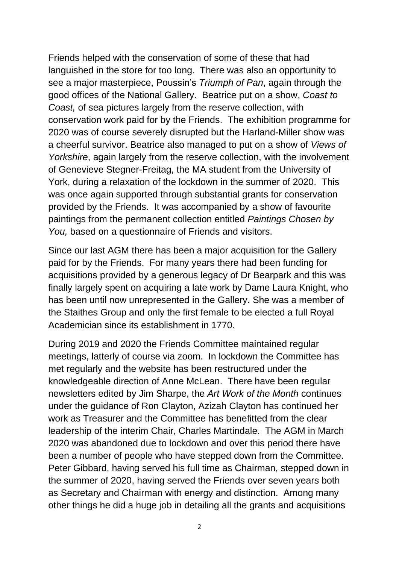Friends helped with the conservation of some of these that had languished in the store for too long. There was also an opportunity to see a major masterpiece, Poussin's *Triumph of Pan*, again through the good offices of the National Gallery. Beatrice put on a show, *Coast to Coast,* of sea pictures largely from the reserve collection, with conservation work paid for by the Friends. The exhibition programme for 2020 was of course severely disrupted but the Harland-Miller show was a cheerful survivor. Beatrice also managed to put on a show of *Views of Yorkshire*, again largely from the reserve collection, with the involvement of Genevieve Stegner-Freitag, the MA student from the University of York, during a relaxation of the lockdown in the summer of 2020. This was once again supported through substantial grants for conservation provided by the Friends. It was accompanied by a show of favourite paintings from the permanent collection entitled *Paintings Chosen by You,* based on a questionnaire of Friends and visitors.

Since our last AGM there has been a major acquisition for the Gallery paid for by the Friends. For many years there had been funding for acquisitions provided by a generous legacy of Dr Bearpark and this was finally largely spent on acquiring a late work by Dame Laura Knight, who has been until now unrepresented in the Gallery. She was a member of the Staithes Group and only the first female to be elected a full Royal Academician since its establishment in 1770.

During 2019 and 2020 the Friends Committee maintained regular meetings, latterly of course via zoom. In lockdown the Committee has met regularly and the website has been restructured under the knowledgeable direction of Anne McLean. There have been regular newsletters edited by Jim Sharpe, the *Art Work of the Month* continues under the guidance of Ron Clayton, Azizah Clayton has continued her work as Treasurer and the Committee has benefitted from the clear leadership of the interim Chair, Charles Martindale. The AGM in March 2020 was abandoned due to lockdown and over this period there have been a number of people who have stepped down from the Committee. Peter Gibbard, having served his full time as Chairman, stepped down in the summer of 2020, having served the Friends over seven years both as Secretary and Chairman with energy and distinction. Among many other things he did a huge job in detailing all the grants and acquisitions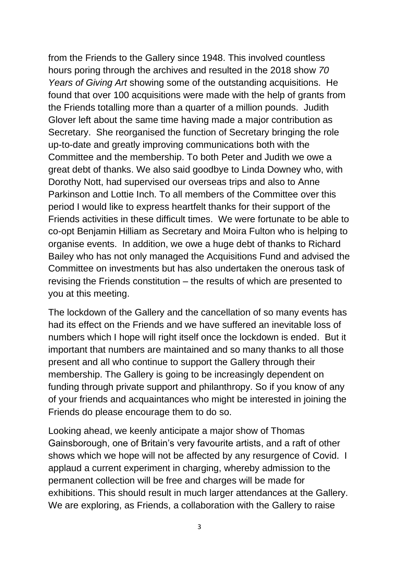from the Friends to the Gallery since 1948. This involved countless hours poring through the archives and resulted in the 2018 show *70 Years of Giving Art* showing some of the outstanding acquisitions. He found that over 100 acquisitions were made with the help of grants from the Friends totalling more than a quarter of a million pounds. Judith Glover left about the same time having made a major contribution as Secretary. She reorganised the function of Secretary bringing the role up-to-date and greatly improving communications both with the Committee and the membership. To both Peter and Judith we owe a great debt of thanks. We also said goodbye to Linda Downey who, with Dorothy Nott, had supervised our overseas trips and also to Anne Parkinson and Lottie Inch. To all members of the Committee over this period I would like to express heartfelt thanks for their support of the Friends activities in these difficult times. We were fortunate to be able to co-opt Benjamin Hilliam as Secretary and Moira Fulton who is helping to organise events. In addition, we owe a huge debt of thanks to Richard Bailey who has not only managed the Acquisitions Fund and advised the Committee on investments but has also undertaken the onerous task of revising the Friends constitution – the results of which are presented to you at this meeting.

The lockdown of the Gallery and the cancellation of so many events has had its effect on the Friends and we have suffered an inevitable loss of numbers which I hope will right itself once the lockdown is ended. But it important that numbers are maintained and so many thanks to all those present and all who continue to support the Gallery through their membership. The Gallery is going to be increasingly dependent on funding through private support and philanthropy. So if you know of any of your friends and acquaintances who might be interested in joining the Friends do please encourage them to do so.

Looking ahead, we keenly anticipate a major show of Thomas Gainsborough, one of Britain's very favourite artists, and a raft of other shows which we hope will not be affected by any resurgence of Covid. I applaud a current experiment in charging, whereby admission to the permanent collection will be free and charges will be made for exhibitions. This should result in much larger attendances at the Gallery. We are exploring, as Friends, a collaboration with the Gallery to raise